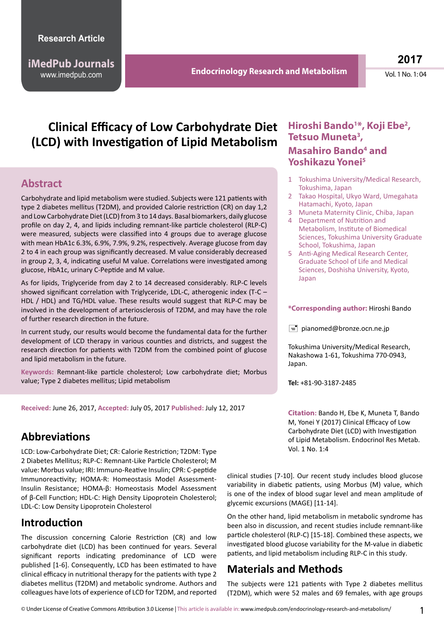**iMedPub Journals**

www.imedpub.com **Endocrinology Research and Metabolism**

**2017**

Vol. 1 No. 1: 04

# **Clinical Efficacy of Low Carbohydrate Diet (LCD) with Investigation of Lipid Metabolism**

### **Abstract**

Carbohydrate and lipid metabolism were studied. Subjects were 121 patients with type 2 diabetes mellitus (T2DM), and provided Calorie restriction (CR) on day 1,2 and Low Carbohydrate Diet (LCD) from 3 to 14 days. Basal biomarkers, daily glucose profile on day 2, 4, and lipids including remnant-like particle cholesterol (RLP-C) were measured, subjects were classified into 4 groups due to average glucose with mean HbA1c 6.3%, 6.9%, 7.9%, 9.2%, respectively. Average glucose from day 2 to 4 in each group was significantly decreased. M value considerably decreased in group 2, 3, 4, indicating useful M value. Correlations were investigated among glucose, HbA1c, urinary C-Peptide and M value.

As for lipids, Triglyceride from day 2 to 14 decreased considerably. RLP-C levels showed significant correlation with Triglyceride, LDL-C, atherogenic index (T-C – HDL / HDL) and TG/HDL value. These results would suggest that RLP-C may be involved in the development of arteriosclerosis of T2DM, and may have the role of further research direction in the future.

In current study, our results would become the fundamental data for the further development of LCD therapy in various counties and districts, and suggest the research direction for patients with T2DM from the combined point of glucose and lipid metabolism in the future.

**Keywords:** Remnant-like particle cholesterol; Low carbohydrate diet; Morbus value; Type 2 diabetes mellitus; Lipid metabolism

**Received:** June 26, 2017, **Accepted:** July 05, 2017 **Published:** July 12, 2017

# **Abbreviations**

LCD: Low-Carbohydrate Diet; CR: Calorie Restriction; T2DM: Type 2 Diabetes Mellitus; RLP-C: Remnant-Like Particle Cholesterol; M value: Morbus value; IRI: Immuno-Reative Insulin; CPR: C-peptide Immunoreactivity; HOMA-R: Homeostasis Model Assessment-Insulin Resistance; HOMA-β: Homeostasis Model Assessment of β-Cell Function; HDL-C: High Density Lipoprotein Cholesterol; LDL-C: Low Density Lipoprotein Cholesterol

# **Introduction**

The discussion concerning Calorie Restriction (CR) and low carbohydrate diet (LCD) has been continued for years. Several significant reports indicating predominance of LCD were published [1-6]. Consequently, LCD has been estimated to have clinical efficacy in nutritional therapy for the patients with type 2 diabetes mellitus (T2DM) and metabolic syndrome. Authors and colleagues have lots of experience of LCD for T2DM, and reported

### **Hiroshi Bando1 \*, Koji Ebe2 , Tetsuo Muneta3 , Masahiro Bando<sup>4</sup> and Yoshikazu Yonei5**

- 1 Tokushima University/Medical Research, Tokushima, Japan
- 2 Takao Hospital, Ukyo Ward, Umegahata Hatamachi, Kyoto, Japan
- 3 Muneta Maternity Clinic, Chiba, Japan
- 4 Department of Nutrition and Metabolism, Institute of Biomedical Sciences, Tokushima University Graduate School, Tokushima, Japan
- 5 Anti-Aging Medical Research Center, Graduate School of Life and Medical Sciences, Doshisha University, Kyoto, Japan

#### **\*Corresponding author:** Hiroshi Bando

 $\equiv$  pianomed@bronze.ocn.ne.jp

Tokushima University/Medical Research, Nakashowa 1-61, Tokushima 770-0943, Japan.

**Tel:** +81-90-3187-2485

**Citation:** Bando H, Ebe K, Muneta T, Bando M, Yonei Y (2017) Clinical Efficacy of Low Carbohydrate Diet (LCD) with Investigation of Lipid Metabolism. Endocrinol Res Metab. Vol. 1 No. 1:4

clinical studies [7-10]. Our recent study includes blood glucose variability in diabetic patients, using Morbus (M) value, which is one of the index of blood sugar level and mean amplitude of glycemic excursions (MAGE) [11-14].

On the other hand, lipid metabolism in metabolic syndrome has been also in discussion, and recent studies include remnant-like particle cholesterol (RLP-C) [15-18]. Combined these aspects, we investigated blood glucose variability for the M-value in diabetic patients, and lipid metabolism including RLP-C in this study.

# **Materials and Methods**

The subjects were 121 patients with Type 2 diabetes mellitus (T2DM), which were 52 males and 69 females, with age groups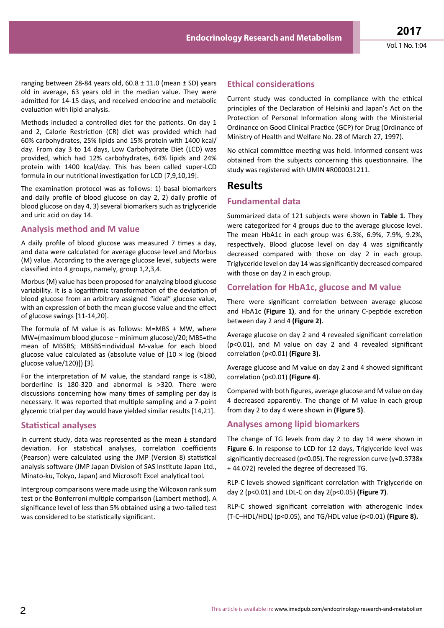ranging between 28-84 years old,  $60.8 \pm 11.0$  (mean  $\pm$  SD) years old in average, 63 years old in the median value. They were admitted for 14-15 days, and received endocrine and metabolic evaluation with lipid analysis.

Methods included a controlled diet for the patients. On day 1 and 2, Calorie Restriction (CR) diet was provided which had 60% carbohydrates, 25% lipids and 15% protein with 1400 kcal/ day. From day 3 to 14 days, Low Carbohydrate Diet (LCD) was provided, which had 12% carbohydrates, 64% lipids and 24% protein with 1400 kcal/day. This has been called super-LCD formula in our nutritional investigation for LCD [7,9,10,19].

The examination protocol was as follows: 1) basal biomarkers and daily profile of blood glucose on day 2, 2) daily profile of blood glucose on day 4, 3) several biomarkers such as triglyceride and uric acid on day 14.

### **Analysis method and M value**

A daily profile of blood glucose was measured 7 times a day, and data were calculated for average glucose level and Morbus (M) value. According to the average glucose level, subjects were classified into 4 groups, namely, group 1,2,3,4.

Morbus(M) value has been proposed for analyzing blood glucose variability. It is a logarithmic transformation of the deviation of blood glucose from an arbitrary assigned "ideal" glucose value, with an expression of both the mean glucose value and the effect of glucose swings [11-14,20].

The formula of M value is as follows: M=MBS + MW, where MW=(maximum blood glucose − minimum glucose)/20; MBS=the mean of MBSBS; MBSBS=individual M-value for each blood glucose value calculated as (absolute value of  $10 \times \log$  (blood glucose value/120)]) [3].

For the interpretation of M value, the standard range is <180, borderline is 180-320 and abnormal is >320. There were discussions concerning how many times of sampling per day is necessary. It was reported that multiple sampling and a 7-point glycemic trial per day would have yielded similar results [14,21].

### **Statistical analyses**

In current study, data was represented as the mean ± standard deviation. For statistical analyses, correlation coefficients (Pearson) were calculated using the JMP (Version 8) statistical analysis software (JMP Japan Division of SAS Institute Japan Ltd., Minato-ku, Tokyo, Japan) and Microsoft Excel analytical tool.

Intergroup comparisons were made using the Wilcoxon rank sum test or the Bonferroni multiple comparison (Lambert method). A significance level of less than 5% obtained using a two-tailed test was considered to be statistically significant.

### **Ethical considerations**

Current study was conducted in compliance with the ethical principles of the Declaration of Helsinki and Japan's Act on the Protection of Personal Information along with the Ministerial Ordinance on Good Clinical Practice (GCP) for Drug (Ordinance of Ministry of Health and Welfare No. 28 of March 27, 1997).

No ethical committee meeting was held. Informed consent was obtained from the subjects concerning this questionnaire. The study was registered with UMIN #R000031211.

### **Results**

#### **Fundamental data**

Summarized data of 121 subjects were shown in **Table 1**. They were categorized for 4 groups due to the average glucose level. The mean HbA1c in each group was 6.3%, 6.9%, 7.9%, 9.2%, respectively. Blood glucose level on day 4 was significantly decreased compared with those on day 2 in each group. Triglyceride level on day 14 wassignificantly decreased compared with those on day 2 in each group.

#### **Correlation for HbA1c, glucose and M value**

There were significant correlation between average glucose and HbA1c **(Figure 1)**, and for the urinary C-peptide excretion between day 2 and 4 **(Figure 2)**.

Average glucose on day 2 and 4 revealed significant correlation (p<0.01), and M value on day 2 and 4 revealed significant correlation (p<0.01) **(Figure 3).**

Average glucose and M value on day 2 and 4 showed significant correlation (p<0.01) **(Figure 4)**.

Compared with both figures, average glucose and M value on day 4 decreased apparently. The change of M value in each group from day 2 to day 4 were shown in **(Figure 5)**.

#### **Analyses among lipid biomarkers**

The change of TG levels from day 2 to day 14 were shown in **Figure 6**. In response to LCD for 12 days, Triglyceride level was significantly decreased (p<0.05). The regression curve (y=0.3738x + 44.072) reveled the degree of decreased TG.

RLP-C levels showed significant correlation with Triglyceride on day 2 (p<0.01) and LDL-C on day 2(p<0.05) **(Figure 7)**.

RLP-C showed significant correlation with atherogenic index (T-C–HDL/HDL) (p<0.05), and TG/HDL value (p<0.01) **(Figure 8).**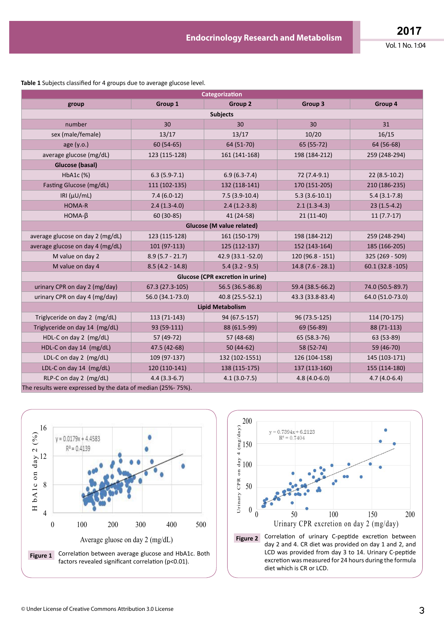| Categorization                                                |                   |                    |                    |                    |
|---------------------------------------------------------------|-------------------|--------------------|--------------------|--------------------|
| group                                                         | Group 1           | Group 2            | Group 3            | Group 4            |
| <b>Subjects</b>                                               |                   |                    |                    |                    |
| number                                                        | 30                | 30                 | 30                 | 31                 |
| sex (male/female)                                             | 13/17             | 13/17              | 10/20              | 16/15              |
| age (y.o.)                                                    | $60(54-65)$       | 64 (51-70)         | 65 (55-72)         | 64 (56-68)         |
| average glucose (mg/dL)                                       | 123 (115-128)     | 161 (141-168)      | 198 (184-212)      | 259 (248-294)      |
| Glucose (basal)                                               |                   |                    |                    |                    |
| HbA1c (%)                                                     | $6.3(5.9-7.1)$    | $6.9(6.3-7.4)$     | 72 (7.4-9.1)       | $22(8.5-10.2)$     |
| Fasting Glucose (mg/dL)                                       | 111 (102-135)     | 132 (118-141)      | 170 (151-205)      | 210 (186-235)      |
| IRI ( $\mu$ U/mL)                                             | $7.4(6.0-12)$     | $7.5(3.9-10.4)$    | $5.3(3.6-10.1)$    | $5.4(3.1-7.8)$     |
| HOMA-R                                                        | $2.4(1.3-4.0)$    | $2.4(1.2-3.8)$     | $2.1(1.3-4.3)$     | $23(1.5-4.2)$      |
| $HOMA-\beta$                                                  | 60 (30-85)        | 41 (24-58)         | $21(11-40)$        | $11(7.7-17)$       |
| <b>Glucose (M value related)</b>                              |                   |                    |                    |                    |
| average glucose on day 2 (mg/dL)                              | 123 (115-128)     | 161 (150-179)      | 198 (184-212)      | 259 (248-294)      |
| average glucose on day 4 (mg/dL)                              | 101 (97-113)      | 125 (112-137)      | 152 (143-164)      | 185 (166-205)      |
| M value on day 2                                              | $8.9(5.7 - 21.7)$ | 42.9 (33.1 - 52.0) | $120(96.8 - 151)$  | 325 (269 - 509)    |
| M value on day 4                                              | $8.5(4.2 - 14.8)$ | $5.4(3.2 - 9.5)$   | $14.8(7.6 - 28.1)$ | $60.1(32.8 - 105)$ |
| Glucose (CPR excretion in urine)                              |                   |                    |                    |                    |
| urinary CPR on day 2 (mg/day)                                 | 67.3 (27.3-105)   | 56.5 (36.5-86.8)   | 59.4 (38.5-66.2)   | 74.0 (50.5-89.7)   |
| urinary CPR on day 4 (mg/day)                                 | 56.0 (34.1-73.0)  | 40.8 (25.5-52.1)   | 43.3 (33.8-83.4)   | 64.0 (51.0-73.0)   |
| <b>Lipid Metabolism</b>                                       |                   |                    |                    |                    |
| Triglyceride on day 2 (mg/dL)                                 | 113 (71-143)      | 94 (67.5-157)      | 96 (73.5-125)      | 114 (70-175)       |
| Triglyceride on day 14 (mg/dL)                                | 93 (59-111)       | 88 (61.5-99)       | 69 (56-89)         | 88 (71-113)        |
| HDL-C on day 2 (mg/dL)                                        | 57 (49-72)        | 57 (48-68)         | 65 (58.3-76)       | 63 (53-89)         |
| HDL-C on day 14 (mg/dL)                                       | 47.5 (42-68)      | $50(44-62)$        | 58 (52-74)         | 59 (46-70)         |
| LDL-C on day 2 (mg/dL)                                        | 109 (97-137)      | 132 (102-1551)     | 126 (104-158)      | 145 (103-171)      |
| LDL-C on day 14 (mg/dL)                                       | 120 (110-141)     | 138 (115-175)      | 137 (113-160)      | 155 (114-180)      |
| RLP-C on day 2 (mg/dL)                                        | $4.4(3.3-6.7)$    | $4.1(3.0-7.5)$     | $4.8(4.0-6.0)$     | $4.7(4.0-6.4)$     |
| The results were overessed by the data of median $(2.50/750)$ |                   |                    |                    |                    |

The results were expressed by the data of median (25%- 75%).



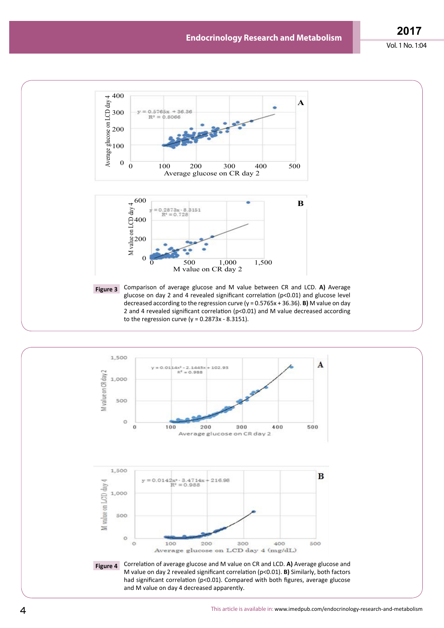**2017**



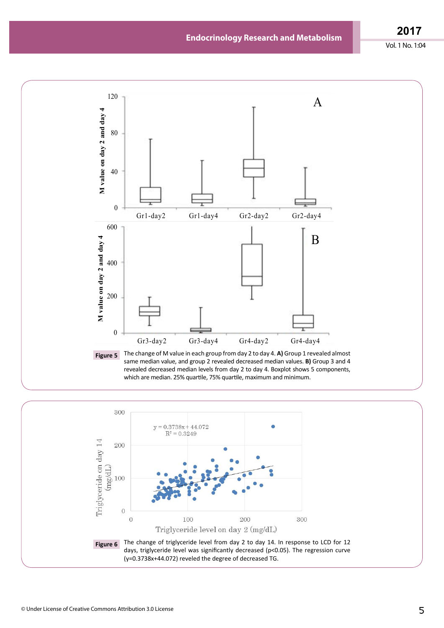**2017**



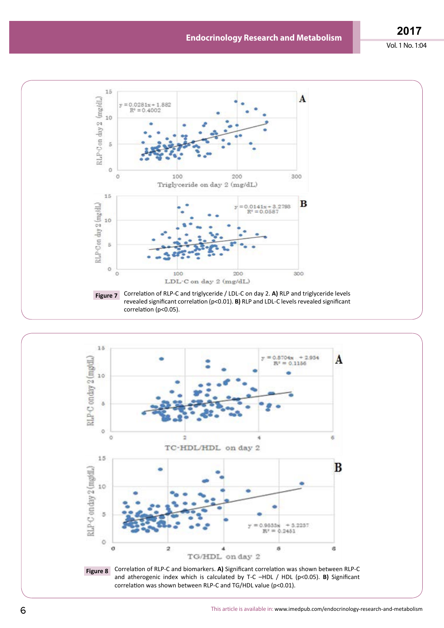

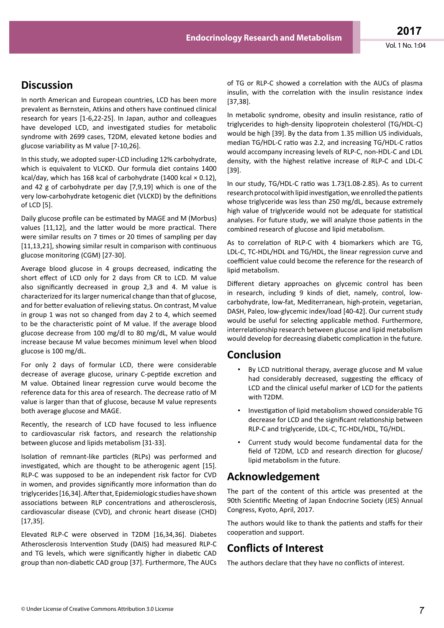# **Discussion**

In north American and European countries, LCD has been more prevalent as Bernstein, Atkins and others have continued clinical research for years [1-6,22-25]. In Japan, author and colleagues have developed LCD, and investigated studies for metabolic syndrome with 2699 cases, T2DM, elevated ketone bodies and glucose variability as M value [7-10,26].

In this study, we adopted super-LCD including 12% carbohydrate, which is equivalent to VLCKD. Our formula diet contains 1400 kcal/day, which has 168 kcal of carbohydrate (1400 kcal  $\times$  0.12), and 42 g of carbohydrate per day [7,9,19] which is one of the very low-carbohydrate ketogenic diet (VLCKD) by the definitions of LCD [5].

Daily glucose profile can be estimated by MAGE and M (Morbus) values [11,12], and the latter would be more practical. There were similar results on 7 times or 20 times of sampling per day [11,13,21], showing similar result in comparison with continuous glucose monitoring (CGM) [27-30].

Average blood glucose in 4 groups decreased, indicating the short effect of LCD only for 2 days from CR to LCD. M value also significantly decreased in group 2,3 and 4. M value is characterized for its larger numerical change than that of glucose, and for better evaluation of relieving status. On contrast, M value in group 1 was not so changed from day 2 to 4, which seemed to be the characteristic point of M value. If the average blood glucose decrease from 100 mg/dl to 80 mg/dL, M value would increase because M value becomes minimum level when blood glucose is 100 mg/dL.

For only 2 days of formular LCD, there were considerable decrease of average glucose, urinary C-peptide excretion and M value. Obtained linear regression curve would become the reference data for this area of research. The decrease ratio of M value is larger than that of glucose, because M value represents both average glucose and MAGE.

Recently, the research of LCD have focused to less influence to cardiovascular risk factors, and research the relationship between glucose and lipids metabolism [31-33].

Isolation of remnant-like particles (RLPs) was performed and investigated, which are thought to be atherogenic agent [15]. RLP-C was supposed to be an independent risk factor for CVD in women, and provides significantly more information than do triglycerides[16,34].Afterthat, Epidemiologic studieshave shown associations between RLP concentrations and atherosclerosis, cardiovascular disease (CVD), and chronic heart disease (CHD) [17,35].

Elevated RLP-C were observed in T2DM [16,34,36]. Diabetes Atherosclerosis Intervention Study (DAIS) had measured RLP-C and TG levels, which were significantly higher in diabetic CAD group than non-diabetic CAD group [37]. Furthermore, The AUCs of TG or RLP-C showed a correlation with the AUCs of plasma insulin, with the correlation with the insulin resistance index [37,38].

In metabolic syndrome, obesity and insulin resistance, ratio of triglycerides to high-density lipoprotein cholesterol (TG/HDL-C) would be high [39]. By the data from 1.35 million US individuals, median TG/HDL-C ratio was 2.2, and increasing TG/HDL-C ratios would accompany increasing levels of RLP-C, non-HDL-C and LDL density, with the highest relative increase of RLP-C and LDL-C [39].

In our study, TG/HDL-C ratio was 1.73(1.08-2.85). As to current research protocol with lipid investigation, we enrolled the patients whose triglyceride was less than 250 mg/dL, because extremely high value of triglyceride would not be adequate for statistical analyses. For future study, we will analyze those patients in the combined research of glucose and lipid metabolism.

As to correlation of RLP-C with 4 biomarkers which are TG, LDL-C, TC-HDL/HDL and TG/HDL, the linear regression curve and coefficient value could become the reference for the research of lipid metabolism.

Different dietary approaches on glycemic control has been in research, including 9 kinds of diet, namely, control, lowcarbohydrate, low-fat, Mediterranean, high-protein, vegetarian, DASH, Paleo, low-glycemic index/load [40-42]. Our current study would be useful for selecting applicable method. Furthermore, interrelationship research between glucose and lipid metabolism would develop for decreasing diabetic complication in the future.

### **Conclusion**

- By LCD nutritional therapy, average glucose and M value had considerably decreased, suggesting the efficacy of LCD and the clinical useful marker of LCD for the patients with T2DM.
- Investigation of lipid metabolism showed considerable TG decrease for LCD and the significant relationship between RLP-C and triglyceride, LDL-C, TC-HDL/HDL, TG/HDL.
- Current study would become fundamental data for the field of T2DM, LCD and research direction for glucose/ lipid metabolism in the future.

# **Acknowledgement**

The part of the content of this article was presented at the 90th Scientific Meeting of Japan Endocrine Society (JES) Annual Congress, Kyoto, April, 2017.

The authors would like to thank the patients and staffs for their cooperation and support.

# **Conflicts of Interest**

The authors declare that they have no conflicts of interest.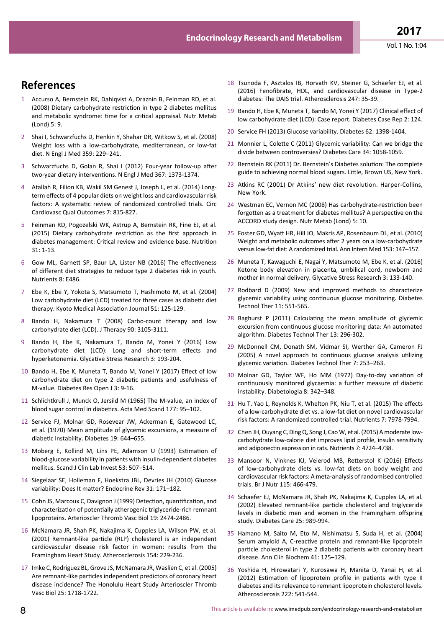### **References**

- 1 Accurso A, Bernstein RK, Dahlqvist A, Draznin B, Feinman RD, et al. (2008) Dietary carbohydrate restriction in type 2 diabetes mellitus and metabolic syndrome: time for a critical appraisal. Nutr Metab (Lond) 5: 9.
- 2 Shai I, Schwarzfuchs D, Henkin Y, Shahar DR, Witkow S, et al. (2008) Weight loss with a low-carbohydrate, mediterranean, or low-fat diet. N Engl J Med 359: 229–241.
- 3 Schwarzfuchs D, Golan R, Shai I (2012) Four-year follow-up after two-year dietary interventions. N Engl J Med 367: 1373-1374.
- 4 Atallah R, Filion KB, Wakil SM Genest J, Joseph L, et al. (2014) Longterm effects of 4 popular diets on weight loss and cardiovascular risk factors: A systematic review of randomized controlled trials. Circ Cardiovasc Qual Outcomes 7: 815-827.
- 5 Feinman RD, Pogozelski WK, Astrup A, Bernstein RK, Fine EJ, et al. (2015) Dietary carbohydrate restriction as the first approach in diabetes management: Critical review and evidence base. Nutrition 31: 1-13.
- 6 Gow ML, Garnett SP, Baur LA, Lister NB (2016) The effectiveness of different diet strategies to reduce type 2 diabetes risk in youth. Nutrients 8: E486.
- 7 Ebe K, Ebe Y, Yokota S, Matsumoto T, Hashimoto M, et al. (2004) Low carbohydrate diet (LCD) treated for three cases as diabetic diet therapy. Kyoto Medical Association Journal 51: 125-129.
- 8 Bando H, Nakamura T (2008) Carbo-count therapy and low carbohydrate diet (LCD). J Therapy 90: 3105-3111.
- 9 Bando H, Ebe K, Nakamura T, Bando M, Yonei Y (2016) Low carbohydrate diet (LCD): Long and short-term effects and hyperketonemia. Glycative Stress Research 3: 193-204.
- 10 Bando H, Ebe K, Muneta T, Bando M, Yonei Y (2017) Effect of low carbohydrate diet on type 2 diabetic patients and usefulness of M-value. Diabetes Res Open J 3: 9-16.
- 11 Schlichtkrull J, Munck O, Jersild M (1965) The M-value, an index of blood sugar control in diabetics. Acta Med Scand 177: 95–102.
- 12 Service FJ, Molnar GD, Rosevear JW, Ackerman E, Gatewood LC, et al. (1970) Mean amplitude of glycemic excursions, a measure of diabetic instability. Diabetes 19: 644–655.
- 13 Moberg E, Kollind M, Lins PE, Adamson U (1993) Estimation of blood-glucose variability in patients with insulin-dependent diabetes mellitus. Scand J Clin Lab Invest 53: 507–514.
- 14 Siegelaar SE, Holleman F, Hoekstra JBL, Devries JH (2010) Glucose variability: Does It matter? Endocrine Rev 31: 171–182.
- 15 Cohn JS, Marcoux C, Davignon J (1999) Detection, quantification, and characterization of potentially atherogenic triglyceride-rich remnant lipoproteins. Arterioscler Thromb Vasc Biol 19: 2474-2486.
- 16 McNamara JR, Shah PK, Nakajima K, Cupples LA, Wilson PW, et al. (2001) Remnant-like particle (RLP) cholesterol is an independent cardiovascular disease risk factor in women: results from the Framingham Heart Study. Atherosclerosis 154: 229-236.
- 17 Imke C, Rodriguez BL, Grove JS, McNamara JR, Waslien C, et al. (2005) Are remnant-like particles independent predictors of coronary heart disease incidence? The Honolulu Heart Study Arterioscler Thromb Vasc Biol 25: 1718-1722.
- 18 Tsunoda F, Asztalos IB, Horvath KV, Steiner G, Schaefer EJ, et al. (2016) Fenofibrate, HDL, and cardiovascular disease in Type-2 diabetes: The DAIS trial. Atherosclerosis 247: 35-39.
- 19 Bando H, Ebe K, Muneta T, Bando M, Yonei Y (2017) Clinical effect of low carbohydrate diet (LCD): Case report. Diabetes Case Rep 2: 124.
- 20 Service FH (2013) Glucose variability. Diabetes 62: 1398-1404.
- 21 Monnier L, Colette C (2011) Glycemic variability: Can we bridge the divide between controversies? Diabetes Care 34: 1058-1059.
- 22 Bernstein RK (2011) Dr. Bernstein's Diabetes solution: The complete guide to achieving normal blood sugars. Little, Brown US, New York.
- 23 Atkins RC (2001) Dr Atkins' new diet revolution. Harper-Collins, New York.
- 24 Westman EC, Vernon MC (2008) Has carbohydrate-restriction been forgotten as a treatment for diabetes mellitus? A perspective on the ACCORD study design. Nutr Metab (Lond) 5: 10.
- 25 Foster GD, Wyatt HR, Hill JO, Makris AP, Rosenbaum DL, et al. (2010) Weight and metabolic outcomes after 2 years on a low-carbohydrate versuslow-fat diet: A randomized trial. Ann Intern Med 153: 147–157.
- 26 Muneta T, Kawaguchi E, Nagai Y, Matsumoto M, Ebe K, et al. (2016) Ketone body elevation in placenta, umbilical cord, newborn and mother in normal delivery. Glycative Stress Research 3: 133-140.
- 27 Rodbard D (2009) New and improved methods to characterize glycemic variability using continuous glucose monitoring. Diabetes Technol Ther 11: 551-565.
- 28 Baghurst P (2011) Calculating the mean amplitude of glycemic excursion from continuous glucose monitoring data: An automated algorithm. Diabetes Technol Ther 13: 296-302.
- 29 McDonnell CM, Donath SM, Vidmar SI, Werther GA, Cameron FJ (2005) A novel approach to continuous glucose analysis utilizing glycemic variation. Diabetes Technol Ther 7: 253–263.
- 30 Molnar GD, Taylor WF, Ho MM (1972) Day-to-day variation of continuously monitored glycaemia: a further measure of diabetic instability. Diabetologia 8: 342–348.
- 31 Hu T, Yao L, Reynolds K, Whelton PK, Niu T, et al. (2015) The effects of a low-carbohydrate diet vs. a low-fat diet on novel cardiovascular risk factors: A randomized controlled trial. Nutrients 7: 7978-7994.
- 32 Chen JH, Ouyang C, Ding Q, Song J, Cao W, et al. (2015) A moderate lowcarbohydrate low-calorie diet improves lipid profile, insulin sensitivity and adiponectin expression in rats. Nutrients 7: 4724–4738.
- 33 Mansoor N, Vinknes KJ, Veierod MB, Retterstol K (2016) Effects of low-carbohydrate diets vs. low-fat diets on body weight and cardiovascular risk factors: A meta-analysis of randomised controlled trials. Br J Nutr 115: 466-479.
- 34 Schaefer EJ, McNamara JR, Shah PK, Nakajima K, Cupples LA, et al. (2002) Elevated remnant-like particle cholesterol and triglyceride levels in diabetic men and women in the Framingham offspring study. Diabetes Care 25: 989-994.
- 35 Hamano M, Saito M, Eto M, Nishimatsu S, Suda H, et al. (2004) Serum amyloid A, C-reactive protein and remnant-like lipoprotein particle cholesterol in type 2 diabetic patients with coronary heart disease. Ann Clin Biochem 41: 125–129.
- 36 Yoshida H, Hirowatari Y, Kurosawa H, Manita D, Yanai H, et al. (2012) Estimation of lipoprotein profile in patients with type II diabetes and its relevance to remnant lipoprotein cholesterol levels. Atherosclerosis 222: 541-544.